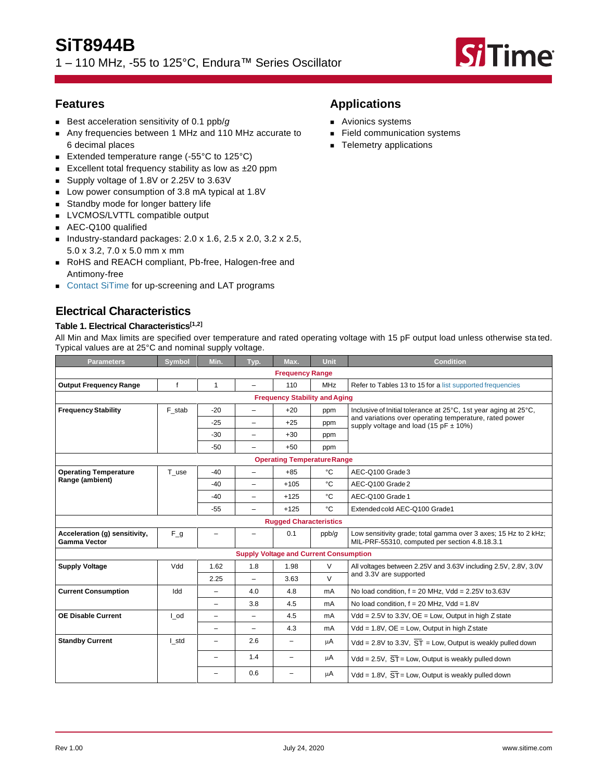# **SiT8944B**

1 – 110 MHz, -55 to 125°C, Endura™ Series Oscillator



## **Features**

- Best acceleration sensitivity of 0.1 ppb/g
- Any frequencies between 1 MHz and 110 MHz accurate to 6 decimal places
- Extended temperature range (-55°C to 125°C)
- Excellent total frequency stability as low as ±20 ppm
- Supply voltage of 1.8V or 2.25V to 3.63V
- Low power consumption of 3.8 mA typical at 1.8V
- Standby mode for longer battery life
- LVCMOS/LVTTL compatible output
- AEC-Q100 qualified
- Industry-standard packages:  $2.0 \times 1.6$ ,  $2.5 \times 2.0$ ,  $3.2 \times 2.5$ , 5.0 x 3.2, 7.0 x 5.0 mm x mm
- RoHS and REACH compliant, Pb-free, Halogen-free and Antimony-free
- [Contact SiTime](https://www.sitime.com/contact-us) for up-screening and LAT programs

## **Electrical Characteristics**

### **Table 1. Electrical Characteristics[\[1,](#page-1-0)[2\]](#page-1-1)**

All Min and Max limits are specified over temperature and rated operating voltage with 15 pF output load unless otherwise sta ted. Typical values are at 25°C and nominal supply voltage.

| <b>Parameters</b>                                    | <b>Symbol</b> | Min.                     | Typ.                     | Max.                                          | <b>Unit</b> | <b>Condition</b>                                                                                                  |  |  |
|------------------------------------------------------|---------------|--------------------------|--------------------------|-----------------------------------------------|-------------|-------------------------------------------------------------------------------------------------------------------|--|--|
|                                                      |               |                          |                          | <b>Frequency Range</b>                        |             |                                                                                                                   |  |  |
| <b>Output Frequency Range</b>                        | f             | $\mathbf{1}$             | Ξ.                       | 110                                           | <b>MHz</b>  | Refer to Tables 13 to 15 for a list supported frequencies                                                         |  |  |
|                                                      |               |                          |                          | <b>Frequency Stability and Aging</b>          |             |                                                                                                                   |  |  |
| <b>Frequency Stability</b>                           | F stab        | $-20$                    | $\equiv$                 | $+20$                                         | ppm         | Inclusive of Initial tolerance at 25°C, 1st year aging at 25°C,                                                   |  |  |
|                                                      |               | $-25$                    | Ξ.                       | $+25$                                         | ppm         | and variations over operating temperature, rated power<br>supply voltage and load (15 pF $\pm$ 10%)               |  |  |
|                                                      |               | $-30$                    | $\overline{\phantom{0}}$ | $+30$                                         | ppm         |                                                                                                                   |  |  |
|                                                      |               | $-50$                    | Ξ.                       | $+50$                                         | ppm         |                                                                                                                   |  |  |
| <b>Operating Temperature Range</b>                   |               |                          |                          |                                               |             |                                                                                                                   |  |  |
| <b>Operating Temperature</b>                         | T_use         | $-40$                    | ÷                        | $+85$                                         | °C          | AEC-Q100 Grade 3                                                                                                  |  |  |
| Range (ambient)                                      |               | $-40$                    | ÷                        | $+105$                                        | °C          | AEC-Q100 Grade 2                                                                                                  |  |  |
|                                                      |               | $-40$                    | Ξ.                       | $+125$                                        | °C          | AEC-Q100 Grade 1                                                                                                  |  |  |
|                                                      |               | $-55$                    | $\overline{\phantom{0}}$ | $+125$                                        | °C          | Extended cold AEC-Q100 Grade1                                                                                     |  |  |
|                                                      |               |                          |                          | <b>Rugged Characteristics</b>                 |             |                                                                                                                   |  |  |
| Acceleration (g) sensitivity,<br><b>Gamma Vector</b> | $F_g$         |                          |                          | 0.1                                           | ppb/g       | Low sensitivity grade; total gamma over 3 axes; 15 Hz to 2 kHz;<br>MIL-PRF-55310, computed per section 4.8.18.3.1 |  |  |
|                                                      |               |                          |                          | <b>Supply Voltage and Current Consumption</b> |             |                                                                                                                   |  |  |
| <b>Supply Voltage</b>                                | Vdd           | 1.62                     | 1.8                      | 1.98                                          | V           | All voltages between 2.25V and 3.63V including 2.5V, 2.8V, 3.0V                                                   |  |  |
|                                                      |               | 2.25                     | $\overline{\phantom{0}}$ | 3.63                                          | $\vee$      | and 3.3V are supported                                                                                            |  |  |
| <b>Current Consumption</b>                           | Idd           | $\overline{\phantom{0}}$ | 4.0                      | 4.8                                           | mA          | No load condition, $f = 20$ MHz, Vdd = 2.25V to 3.63V                                                             |  |  |
|                                                      |               | -                        | 3.8                      | 4.5                                           | mA          | No load condition, $f = 20$ MHz, Vdd = 1.8V                                                                       |  |  |
| <b>OE Disable Current</b>                            | I od          | $\overline{\phantom{0}}$ |                          | 4.5                                           | mA          | $Vdd = 2.5V$ to 3.3V, $OE = Low$ , Output in high Z state                                                         |  |  |
|                                                      |               | $\overline{\phantom{0}}$ | $\overline{\phantom{0}}$ | 4.3                                           | mA          | $Vdd = 1.8V$ , $OE = Low$ , Output in high Zstate                                                                 |  |  |
| <b>Standby Current</b>                               | I_std         | -                        | 2.6                      | $\overline{\phantom{0}}$                      | μA          | Vdd = 2.8V to 3.3V, $\overline{ST}$ = Low, Output is weakly pulled down                                           |  |  |
|                                                      |               | -                        | 1.4                      | $\overline{\phantom{0}}$                      | μA          | Vdd = $2.5V$ , $\overline{ST}$ = Low, Output is weakly pulled down                                                |  |  |
|                                                      |               |                          | 0.6                      | $\overline{\phantom{0}}$                      | μA          | Vdd = 1.8V, $\overline{ST}$ = Low, Output is weakly pulled down                                                   |  |  |

## **Applications**

- Avionics systems
- Field communication systems
- Telemetry applications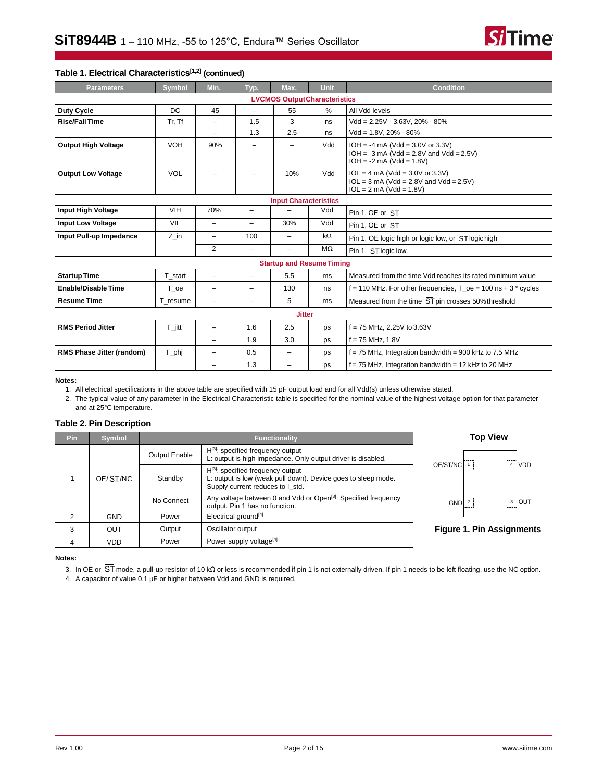

#### **Table 1. Electrical Characteristics[\[1,](#page-1-0)[2\]](#page-1-1) (continued)**

| <b>Parameters</b>          | <b>Symbol</b>        | Min.                     | Typ.                     | Max.                                 | Unit      | <b>Condition</b>                                                                                              |  |
|----------------------------|----------------------|--------------------------|--------------------------|--------------------------------------|-----------|---------------------------------------------------------------------------------------------------------------|--|
|                            |                      |                          |                          | <b>LVCMOS Output Characteristics</b> |           |                                                                                                               |  |
| Duty Cycle                 | DC                   | 45                       | $\overline{\phantom{0}}$ | 55                                   | $\%$      | All Vdd levels                                                                                                |  |
| <b>Rise/Fall Time</b>      | Tr, Tf               | $\overline{\phantom{0}}$ | 1.5                      | 3                                    | ns        | $Vdd = 2.25V - 3.63V$ . 20% - 80%                                                                             |  |
|                            |                      | -                        | 1.3                      | 2.5                                  | ns        | $Vdd = 1.8V, 20\% - 80\%$                                                                                     |  |
| <b>Output High Voltage</b> | <b>VOH</b>           | 90%                      | -                        | $\qquad \qquad -$                    | Vdd       | $IOH = -4 mA (Vdd = 3.0V or 3.3V)$<br>$IOH = -3 mA (Vdd = 2.8V and Vdd = 2.5V)$<br>$IOH = -2 mA (Vdd = 1.8V)$ |  |
| <b>Output Low Voltage</b>  | <b>VOL</b>           |                          |                          | 10%                                  | Vdd       | $IOL = 4 mA (Vdd = 3.0V or 3.3V)$<br>$IOL = 3 mA (Vdd = 2.8V and Vdd = 2.5V)$<br>$IOL = 2 mA (Vdd = 1.8V)$    |  |
|                            |                      |                          |                          | <b>Input Characteristics</b>         |           |                                                                                                               |  |
| Input High Voltage         | VIH                  | 70%                      | $\qquad \qquad -$        |                                      | Vdd       | Pin 1, OE or $\overline{ST}$                                                                                  |  |
| <b>Input Low Voltage</b>   | VIL                  | $\overline{\phantom{0}}$ | $\overline{\phantom{0}}$ | 30%                                  | Vdd       | Pin 1. OE or $\overline{ST}$                                                                                  |  |
| Input Pull-up Impedance    | $Z$ in               | $\overline{\phantom{0}}$ | 100                      | $\overline{\phantom{0}}$             | $k\Omega$ | Pin 1, OE logic high or logic low, or ST logic high                                                           |  |
|                            |                      | $\overline{2}$           | $\overline{\phantom{0}}$ | -                                    | $M\Omega$ | Pin 1, ST logic low                                                                                           |  |
|                            |                      |                          |                          | <b>Startup and Resume Timing</b>     |           |                                                                                                               |  |
| <b>Startup Time</b>        | T start              | $\overline{\phantom{0}}$ | $\overline{\phantom{0}}$ | 5.5                                  | ms        | Measured from the time Vdd reaches its rated minimum value                                                    |  |
| <b>Enable/Disable Time</b> | T oe                 | $\overline{\phantom{0}}$ |                          | 130                                  | ns        | f = 110 MHz. For other frequencies, $T_{\rm o}$ = 100 ns + 3 $^*$ cycles                                      |  |
| <b>Resume Time</b>         | T resume             | $\overline{\phantom{0}}$ | $\overline{\phantom{0}}$ | 5                                    | ms        | Measured from the time ST pin crosses 50% threshold                                                           |  |
|                            |                      |                          |                          | <b>Jitter</b>                        |           |                                                                                                               |  |
| <b>RMS Period Jitter</b>   | $T_{\parallel}$ jitt | Ξ.                       | 1.6                      | 2.5                                  | ps        | $f = 75$ MHz, 2.25V to 3.63V                                                                                  |  |
|                            |                      | $\overline{\phantom{0}}$ | 1.9                      | 3.0                                  | ps        | $f = 75$ MHz, 1.8V                                                                                            |  |
| RMS Phase Jitter (random)  | T_phj                |                          | 0.5                      | Ξ.                                   | ps        | $f = 75$ MHz, Integration bandwidth = 900 kHz to 7.5 MHz                                                      |  |
|                            |                      |                          | 1.3                      |                                      | ps        | $f = 75$ MHz, Integration bandwidth = 12 kHz to 20 MHz                                                        |  |

#### <span id="page-1-0"></span>**Notes:**

1. All electrical specifications in the above table are specified with 15 pF output load and for all Vdd(s) unless otherwise stated.

<span id="page-1-1"></span>2. The typical value of any parameter in the Electrical Characteristic table is specified for the nominal value of the highest voltage option for that parameter and at 25°C temperature.

#### **Table 2. Pin Description**

| <b>Pin</b> | <b>Symbol</b> |               | <b>Functionality</b>                                                                                                                        |    |  |  |  |  |
|------------|---------------|---------------|---------------------------------------------------------------------------------------------------------------------------------------------|----|--|--|--|--|
|            |               | Output Enable | $H^{[3]}$ : specified frequency output<br>L: output is high impedance. Only output driver is disabled.                                      |    |  |  |  |  |
|            | OE/ST/NC      | Standby       | $H^{[3]}$ : specified frequency output<br>L: output is low (weak pull down). Device goes to sleep mode.<br>Supply current reduces to I std. | OE |  |  |  |  |
|            |               | No Connect    | Any voltage between 0 and Vdd or Open <sup>[3]</sup> : Specified frequency<br>output. Pin 1 has no function.                                |    |  |  |  |  |
| 2          | GND           | Power         | Electrical ground <sup>[4]</sup>                                                                                                            |    |  |  |  |  |
| 3          | <b>OUT</b>    | Output        | Oscillator output                                                                                                                           | Fi |  |  |  |  |
| 4          | VDD           | Power         | Power supply voltage <sup>[4]</sup>                                                                                                         |    |  |  |  |  |







#### <span id="page-1-2"></span>**Notes:**

3. In OE or ST mode, a pull-up resistor of 10 kΩ or less is recommended if pin 1 is not externally driven. If pin 1 needs to be left floating, use the NC option.

<span id="page-1-3"></span>4. A capacitor of value 0.1 µF or higher between Vdd and GND is required.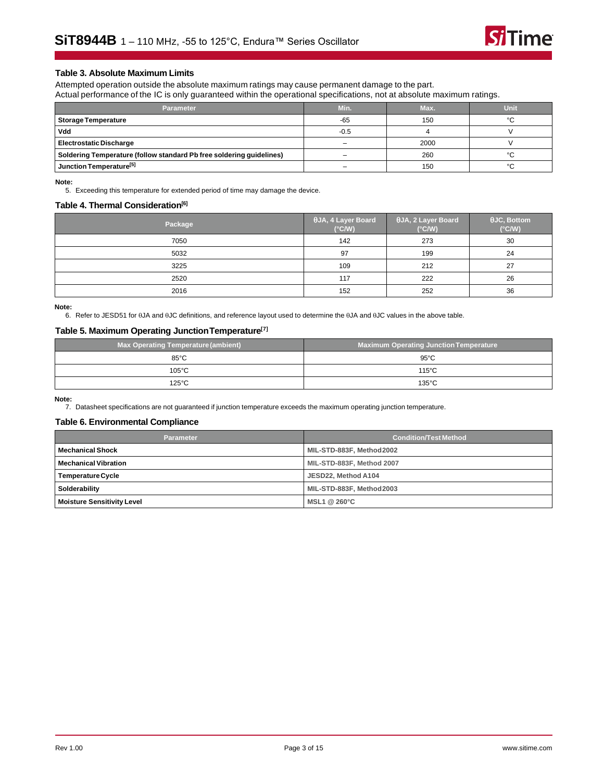

#### **Table 3. Absolute Maximum Limits**

Attempted operation outside the absolute maximum ratings may cause permanent damage to the part. Actual performance of the IC is only guaranteed within the operational specifications, not at absolute maximum ratings.

| <b>Parameter</b>                                                     | Min.   | Max. | Unit   |
|----------------------------------------------------------------------|--------|------|--------|
| <b>Storage Temperature</b>                                           | $-65$  | 150  | $\sim$ |
| Vdd                                                                  | $-0.5$ |      |        |
| <b>Electrostatic Discharge</b>                                       |        | 2000 |        |
| Soldering Temperature (follow standard Pb free soldering guidelines) |        | 260  | $\sim$ |
| Junction Temperature <sup>[5]</sup>                                  |        | 150  | $\sim$ |

<span id="page-2-0"></span>**Note:**

5. Exceeding this temperature for extended period of time may damage the device.

#### **Table 4. Thermal Consideration[\[6\]](#page-2-1)**

| Package | $\theta$ JA, 4 Layer Board<br>$(^{\circ}C/W)$ | $\theta$ JA, 2 Layer Board<br>$(^{\circ}C/W)$ | $\theta$ JC, Bottom<br>$(^{\circ}C/W)$ |
|---------|-----------------------------------------------|-----------------------------------------------|----------------------------------------|
| 7050    | 142                                           | 273                                           | 30                                     |
| 5032    | 97                                            | 199                                           | 24                                     |
| 3225    | 109                                           | 212                                           | 27                                     |
| 2520    | 117                                           | 222                                           | 26                                     |
| 2016    | 152                                           | 252                                           | 36                                     |

<span id="page-2-1"></span>**Note:**

6. Refer to JESD51 for  $\theta$ JA and  $\theta$ JC definitions, and reference layout used to determine the  $\theta$ JA and  $\theta$ JC values in the above table.

#### **Table 5. Maximum Operating JunctionTemperature[\[7\]](#page-2-2)**

| <b>Max Operating Temperature (ambient)</b> | <b>Maximum Operating Junction Temperature</b> |
|--------------------------------------------|-----------------------------------------------|
| $85^{\circ}$ C                             | $95^{\circ}$ C                                |
| $105^{\circ}$ C                            | $115^{\circ}$ C                               |
| $125^{\circ}$ C                            | $135^{\circ}$ C                               |

<span id="page-2-2"></span>**Note:**

7. Datasheet specifications are not guaranteed if junction temperature exceeds the maximum operating junction temperature.

#### **Table 6. Environmental Compliance**

| <b>Parameter</b>                  | <b>Condition/Test Method</b> |  |  |
|-----------------------------------|------------------------------|--|--|
| <b>Mechanical Shock</b>           | MIL-STD-883F, Method 2002    |  |  |
| <b>Mechanical Vibration</b>       | MIL-STD-883F, Method 2007    |  |  |
| <b>Temperature Cycle</b>          | JESD22, Method A104          |  |  |
| Solderability                     | MIL-STD-883F, Method 2003    |  |  |
| <b>Moisture Sensitivity Level</b> | MSL1 @ 260°C                 |  |  |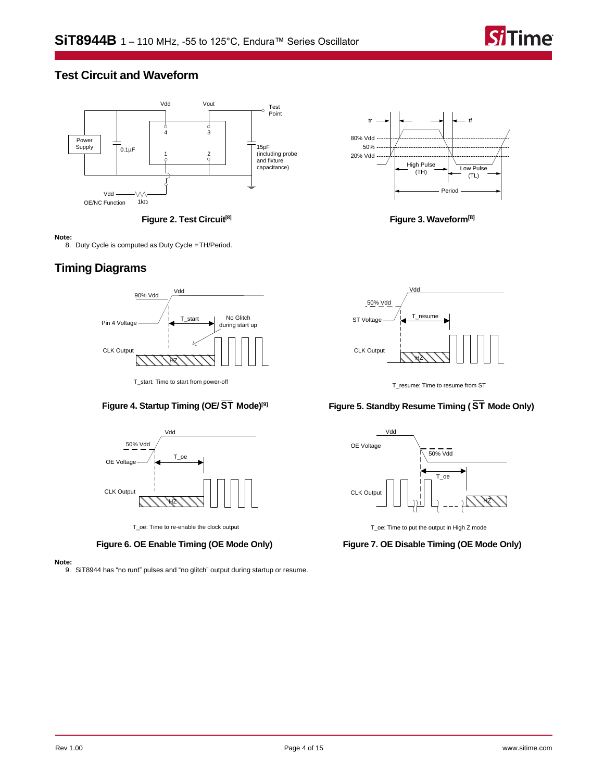

## **Test Circuit and Waveform**



**Figure 2. Test Circuit[\[8\]](#page-3-0)**

#### <span id="page-3-0"></span>**Note:**

8. Duty Cycle is computed as Duty Cycle =TH/Period.

## **Timing Diagrams**



T\_start: Time to start from power-off

### **Figure 4. Startup Timing (OE/ ST Mode)[\[9\]](#page-3-1)**



T\_oe: Time to re-enable the clock output

**Figure 6. OE Enable Timing (OE Mode Only)**

<span id="page-3-1"></span>**Note:**

9. SiT8944 has "no runt" pulses and "no glitch" output during startup or resume.



**Figure 3. Waveform[\[8\]](#page-3-0)**



T\_resume: Time to resume from ST

### **Figure 5. Standby Resume Timing ( ST Mode Only)**



T\_oe: Time to put the output in High Z mode

**Figure 7. OE Disable Timing (OE Mode Only)**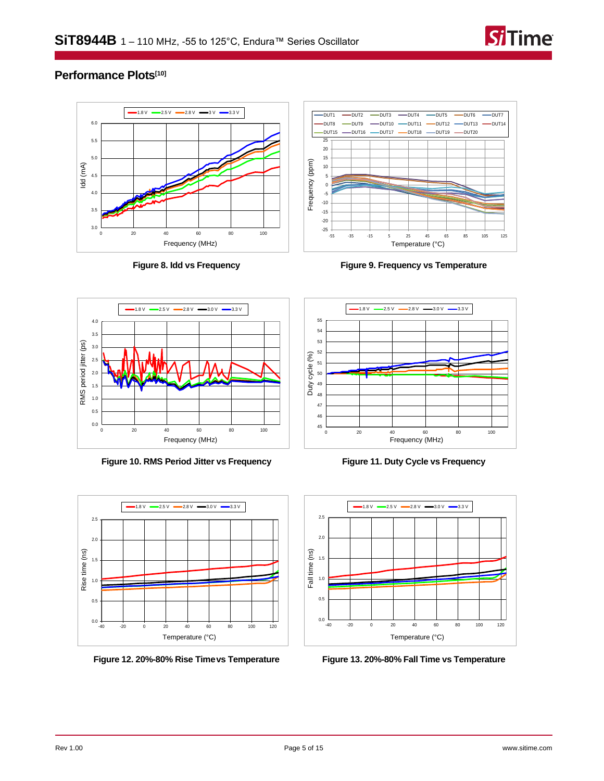

## **Performance Plots[\[10\]](#page-5-0)**



**Figure 8. Idd vs Frequency**



**Figure 9. Frequency vs Temperature**



**Figure 10. RMS Period Jitter vs Frequency**



**Figure 12. 20%-80% Rise Timevs Temperature**



**Figure 11. Duty Cycle vs Frequency**



<span id="page-4-0"></span>**Figure 13. 20%-80% Fall Time vs Temperature**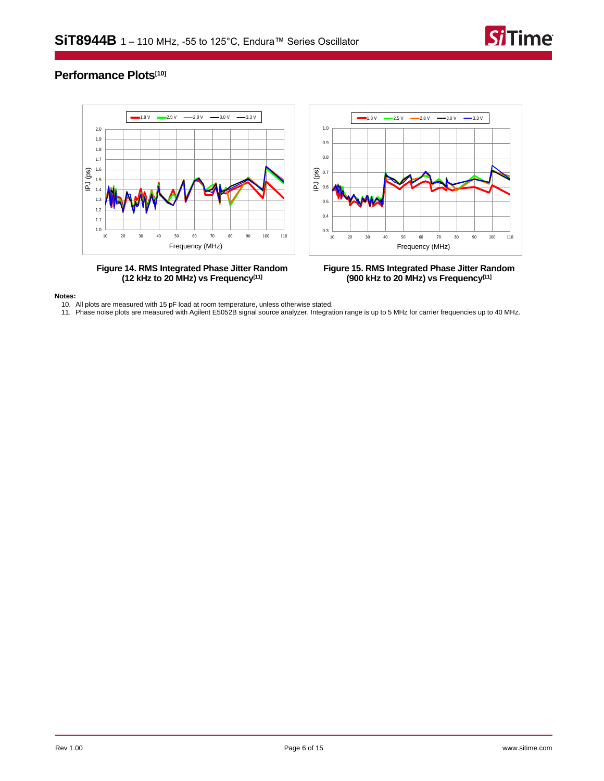

## **Performance Plots[\[10\]](#page-5-0)**



**(12 kHz to 20 MHz) vs Frequency[\[11\]](#page-5-1)**



<span id="page-5-0"></span>**Notes:**

10. All plots are measured with 15 pF load at room temperature, unless otherwise stated.

<span id="page-5-1"></span>11. Phase noise plots are measured with Agilent E5052B signal source analyzer. Integration range is up to 5 MHz for carrier frequencies up to 40 MHz.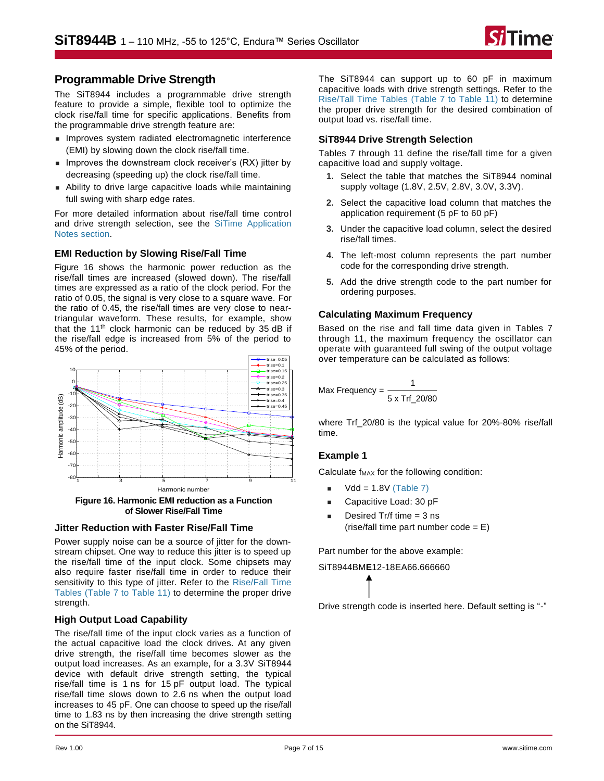## **Programmable Drive Strength**

The [SiT8944](https://www.sitime.com/products/lvcmos-ruggedized-oscillators/sit8944) includes a programmable drive strength feature to provide a simple, flexible tool to optimize the clock rise/fall time for specific applications. Benefits from the programmable drive strength feature are:

- Improves system radiated electromagnetic interference (EMI) by slowing down the clock rise/fall time.
- Improves the downstream clock receiver's (RX) jitter by decreasing (speeding up) the clock rise/fall time.
- Ability to drive large capacitive loads while maintaining full swing with sharp edge rates.

For more detailed information about rise/fall time control and drive strength selection, see the [SiTime Application](https://www.sitime.com/support/resource-library?filter=641)  Notes [section.](https://www.sitime.com/support/resource-library?filter=641)

### **EMI Reduction by Slowing Rise/Fall Time**

[Figure 16](#page-6-0) shows the harmonic power reduction as the rise/fall times are increased (slowed down). The rise/fall times are expressed as a ratio of the clock period. For the ratio of 0.05, the signal is very close to a square wave. For the ratio of 0.45, the rise/fall times are very close to neartriangular waveform. These results, for example, show that the  $11<sup>th</sup>$  clock harmonic can be reduced by 35 dB if the rise/fall edge is increased from 5% of the period to 45% of the period.



<span id="page-6-0"></span>**Figure 16. Harmonic EMI reduction as a Function of Slower Rise/Fall Time**

### **Jitter Reduction with Faster Rise/Fall Time**

Power supply noise can be a source of jitter for the downstream chipset. One way to reduce this jitter is to speed up the rise/fall time of the input clock. Some chipsets may also require faster rise/fall time in order to reduce their sensitivity to this type of jitter. Refer to the [Rise/Fall Time](#page-7-0)  [Tables](#page-7-0) [\(Table 7](#page-7-0) to [Table 11\)](#page-7-1) to determine the proper drive strength.

### **High Output Load Capability**

The rise/fall time of the input clock varies as a function of the actual capacitive load the clock drives. At any given drive strength, the rise/fall time becomes slower as the output load increases. As an example, for a 3.3V SiT8944 device with default drive strength setting, the typical rise/fall time is 1 ns for 15 pF output load. The typical rise/fall time slows down to 2.6 ns when the output load increases to 45 pF. One can choose to speed up the rise/fall time to 1.83 ns by then increasing the drive strength setting on the SiT8944.

The SiT8944 can support up to 60 pF in maximum capacitive loads with drive strength settings. Refer to the [Rise/Tall Time Tables](#page-7-2) [\(Table 7](#page-7-0) to [Table 11\)](#page-7-1) to determine the proper drive strength for the desired combination of output load vs. rise/fall time.

### **SiT8944 Drive Strength Selection**

[Tables 7](#page-7-2) through [11](#page-7-1) define the rise/fall time for a given capacitive load and supply voltage.

- **1.** Select the table that matches the SiT8944 nominal supply voltage (1.8V, 2.5V, 2.8V, 3.0V, 3.3V).
- **2.** Select the capacitive load column that matches the application requirement (5 pF to 60 pF)
- **3.** Under the capacitive load column, select the desired rise/fall times.
- **4.** The left-most column represents the part number code for the corresponding drive strength.
- **5.** Add the drive strength code to the part number for ordering purposes.

### **Calculating Maximum Frequency**

Based on the rise and fall time data given in [Tables 7](#page-7-2) [through](#page-7-2) [11,](#page-7-1) the maximum frequency the oscillator can operate with guaranteed full swing of the output voltage over temperature can be calculated as follows:

$$
\text{Max Frequency} = \frac{1}{5 \times \text{Tr}(-20/80)}
$$

where Trf\_20/80 is the typical value for 20%-80% rise/fall time.

### **Example 1**

Calculate f<sub>MAX</sub> for the following condition:

- $Vdd = 1.8V$  [\(Table 7\)](#page-7-0)
- Capacitive Load: 30 pF
- Desired Tr/f time  $=$  3 ns (rise/fall time part number code  $= E$ )

Part number for the above example:

SiT8944BM**E**12-18EA66.666660

Drive strength code is inserted here. Default setting is "-"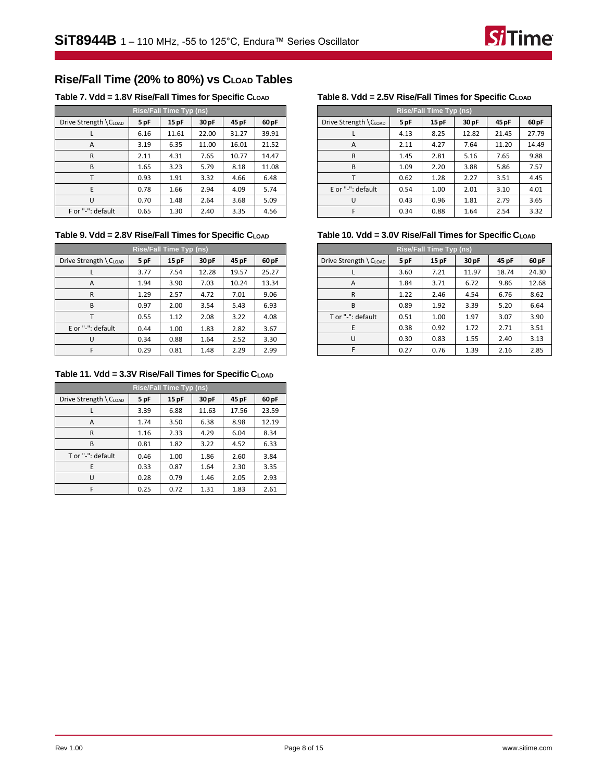## <span id="page-7-2"></span>**Rise/Fall Time (20% to 80%) vs CLOAD Tables**

<span id="page-7-0"></span>**Table 7. Vdd = 1.8V Rise/Fall Times for Specific CLOAD**

| <b>Rise/Fall Time Typ (ns)</b> |      |       |       |       |       |  |  |
|--------------------------------|------|-------|-------|-------|-------|--|--|
| Drive Strength \CLOAD          | 5 pF | 15pF  | 30 pF | 45 pF | 60 pF |  |  |
|                                | 6.16 | 11.61 | 22.00 | 31.27 | 39.91 |  |  |
| A                              | 3.19 | 6.35  | 11.00 | 16.01 | 21.52 |  |  |
| R                              | 2.11 | 4.31  | 7.65  | 10.77 | 14.47 |  |  |
| B                              | 1.65 | 3.23  | 5.79  | 8.18  | 11.08 |  |  |
|                                | 0.93 | 1.91  | 3.32  | 4.66  | 6.48  |  |  |
| E                              | 0.78 | 1.66  | 2.94  | 4.09  | 5.74  |  |  |
| п                              | 0.70 | 1.48  | 2.64  | 3.68  | 5.09  |  |  |
| F or "-": default              | 0.65 | 1.30  | 2.40  | 3.35  | 4.56  |  |  |

**Table 9. Vdd = 2.8V Rise/Fall Times for Specific CLOAD**

| <b>Rise/Fall Time Typ (ns)</b> |      |       |       |       |       |  |  |  |
|--------------------------------|------|-------|-------|-------|-------|--|--|--|
| Drive Strength \ CLOAD         | 5 pF | 15 pF | 30 pF | 45 pF | 60 pF |  |  |  |
|                                | 3.77 | 7.54  | 12.28 | 19.57 | 25.27 |  |  |  |
| A                              | 1.94 | 3.90  | 7.03  | 10.24 | 13.34 |  |  |  |
| R                              | 1.29 | 2.57  | 4.72  | 7.01  | 9.06  |  |  |  |
| B                              | 0.97 | 2.00  | 3.54  | 5.43  | 6.93  |  |  |  |
|                                | 0.55 | 1.12  | 2.08  | 3.22  | 4.08  |  |  |  |
| E or "-": default              | 0.44 | 1.00  | 1.83  | 2.82  | 3.67  |  |  |  |
| U                              | 0.34 | 0.88  | 1.64  | 2.52  | 3.30  |  |  |  |
| F                              | 0.29 | 0.81  | 1.48  | 2.29  | 2.99  |  |  |  |

<span id="page-7-1"></span>**Table 11. Vdd = 3.3V Rise/Fall Times for Specific CLOAD**

| <b>Rise/Fall Time Typ (ns)</b> |      |       |       |       |       |  |  |  |
|--------------------------------|------|-------|-------|-------|-------|--|--|--|
| Drive Strength \ CLOAD         | 5 pF | 15 pF | 30 pF | 45 pF | 60 pF |  |  |  |
|                                | 3.39 | 6.88  | 11.63 | 17.56 | 23.59 |  |  |  |
| A                              | 1.74 | 3.50  | 6.38  | 8.98  | 12.19 |  |  |  |
| R                              | 1.16 | 2.33  | 4.29  | 6.04  | 8.34  |  |  |  |
| B                              | 0.81 | 1.82  | 3.22  | 4.52  | 6.33  |  |  |  |
| T or "-": default              | 0.46 | 1.00  | 1.86  | 2.60  | 3.84  |  |  |  |
| E                              | 0.33 | 0.87  | 1.64  | 2.30  | 3.35  |  |  |  |
| U                              | 0.28 | 0.79  | 1.46  | 2.05  | 2.93  |  |  |  |
| F                              | 0.25 | 0.72  | 1.31  | 1.83  | 2.61  |  |  |  |

### **Table 8. Vdd = 2.5V Rise/Fall Times for Specific CLOAD**

| Rise/Fall Time Typ (ns) |      |       |                  |       |                  |  |  |
|-------------------------|------|-------|------------------|-------|------------------|--|--|
| Drive Strength \CLOAD   | 5 pF | 15 pF | 30 <sub>pF</sub> | 45 pF | 60 <sub>pF</sub> |  |  |
|                         | 4.13 | 8.25  | 12.82            | 21.45 | 27.79            |  |  |
| A                       | 2.11 | 4.27  | 7.64             | 11.20 | 14.49            |  |  |
| R                       | 1.45 | 2.81  | 5.16             | 7.65  | 9.88             |  |  |
| B                       | 1.09 | 2.20  | 3.88             | 5.86  | 7.57             |  |  |
|                         | 0.62 | 1.28  | 2.27             | 3.51  | 4.45             |  |  |
| E or "-": default       | 0.54 | 1.00  | 2.01             | 3.10  | 4.01             |  |  |
| ''                      | 0.43 | 0.96  | 1.81             | 2.79  | 3.65             |  |  |
|                         | 0.34 | 0.88  | 1.64             | 2.54  | 3.32             |  |  |

### **Table 10. Vdd = 3.0V Rise/Fall Times for Specific CLOAD**

| <b>Rise/Fall Time Typ (ns)</b> |      |      |       |       |       |  |  |  |
|--------------------------------|------|------|-------|-------|-------|--|--|--|
| Drive Strength \ CLOAD         | 5 pF | 15pF | 30 pF | 45 pF | 60 pF |  |  |  |
|                                | 3.60 | 7.21 | 11.97 | 18.74 | 24.30 |  |  |  |
| A                              | 1.84 | 3.71 | 6.72  | 9.86  | 12.68 |  |  |  |
| R                              | 1.22 | 2.46 | 4.54  | 6.76  | 8.62  |  |  |  |
| B                              | 0.89 | 1.92 | 3.39  | 5.20  | 6.64  |  |  |  |
| T or "-": default              | 0.51 | 1.00 | 1.97  | 3.07  | 3.90  |  |  |  |
| E                              | 0.38 | 0.92 | 1.72  | 2.71  | 3.51  |  |  |  |
| U                              | 0.30 | 0.83 | 1.55  | 2.40  | 3.13  |  |  |  |
| F                              | 0.27 | 0.76 | 1.39  | 2.16  | 2.85  |  |  |  |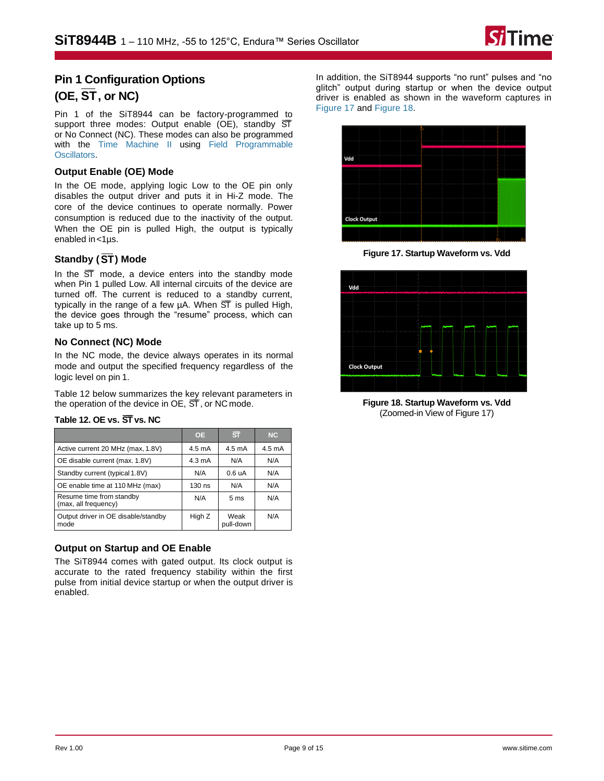

## **Pin 1 Configuration Options (OE, ST , or NC)**

Pin 1 of the SiT8944 can be factory-programmed to support three modes: Output enable (OE), standby  $\overline{ST}$ or No Connect (NC). These modes can also be programmed with the [Time Machine II](http://www.sitime.com/time-machine) using [Field Programmable](http://www.sitime.com/fp-devices) [Oscillators.](http://www.sitime.com/fp-devices)

### **Output Enable (OE) Mode**

In the OE mode, applying logic Low to the OE pin only disables the output driver and puts it in Hi-Z mode. The core of the device continues to operate normally. Power consumption is reduced due to the inactivity of the output. When the OE pin is pulled High, the output is typically enabled in <1µs.

### **Standby ( ST ) Mode**

In the  $\overline{ST}$  mode, a device enters into the standby mode when Pin 1 pulled Low. All internal circuits of the device are turned off. The current is reduced to a standby current, typically in the range of a few  $\mu$ A. When  $\overline{ST}$  is pulled High, the device goes through the "resume" process, which can take up to 5 ms.

### **No Connect (NC) Mode**

In the NC mode, the device always operates in its normal mode and output the specified frequency regardless of the logic level on pin 1.

[Table 12](#page-8-0) below summarizes the key relevant parameters in the operation of the device in  $OE$ ,  $ST$ , or NC mode.

|                                                  | <b>OE</b>        | $\overline{\text{ST}}$ | NC     |
|--------------------------------------------------|------------------|------------------------|--------|
| Active current 20 MHz (max, 1.8V)                | $4.5 \text{ mA}$ | $4.5 \text{ mA}$       | 4.5 mA |
| OE disable current (max. 1.8V)                   | $4.3 \text{ mA}$ | N/A                    | N/A    |
| Standby current (typical 1.8V)                   | N/A              | 0.6 uA                 | N/A    |
| OE enable time at 110 MHz (max)                  | 130 ns           | N/A                    | N/A    |
| Resume time from standby<br>(max, all frequency) | N/A              | 5 <sub>ms</sub>        | N/A    |
| Output driver in OE disable/standby<br>mode      | High Z           | Weak<br>pull-down      | N/A    |

### <span id="page-8-0"></span>**Table 12. OE vs.**  $\overline{ST}$  **vs. NC**

### **Output on Startup and OE Enable**

The SiT8944 comes with gated output. Its clock output is accurate to the rated frequency stability within the first pulse from initial device startup or when the output driver is enabled.

In addition, the SiT8944 supports "no runt" pulses and "no glitch" output during startup or when the device output driver is enabled as shown in the waveform captures in [Figure 17](#page-8-1) and [Figure 18.](#page-8-2)



**Figure 17. Startup Waveform vs. Vdd**

<span id="page-8-1"></span>

<span id="page-8-2"></span>**Figure 18. Startup Waveform vs. Vdd**  (Zoomed-in View of [Figure 17\)](#page-8-1)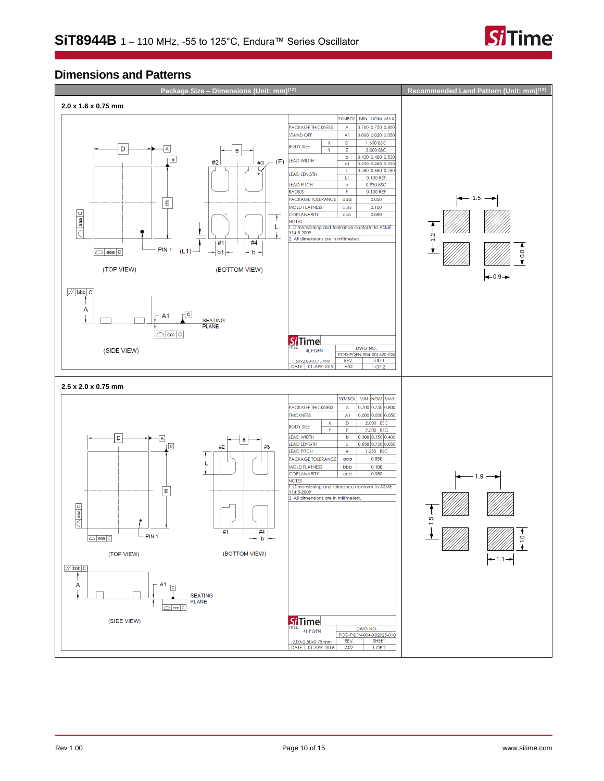

## **Dimensions and Patterns**

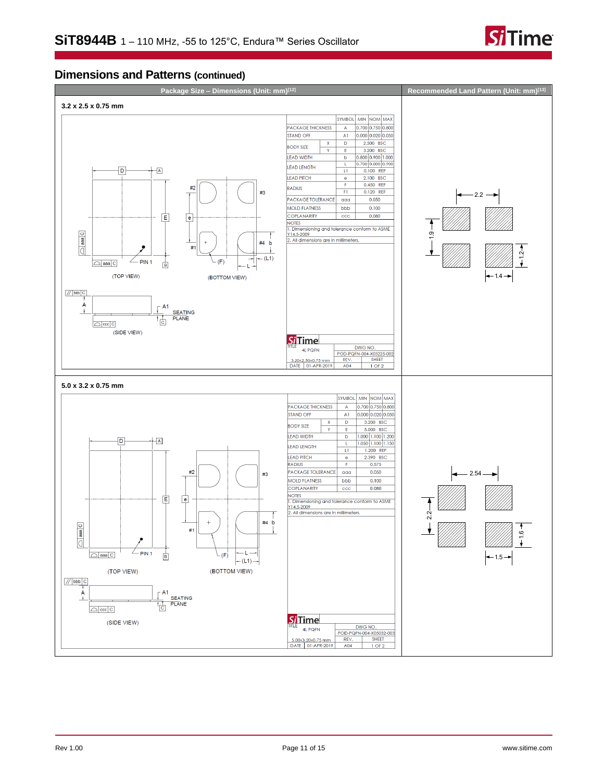

## **Dimensions and Patterns (continued)**

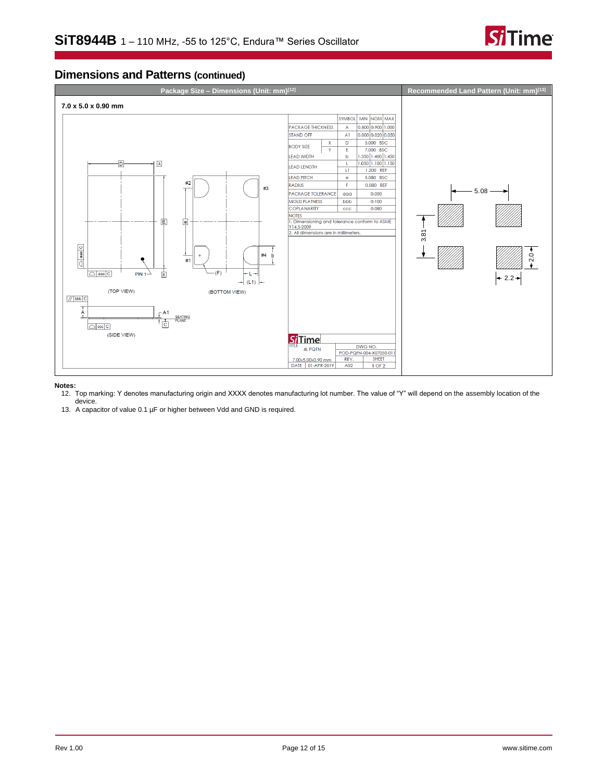

## **Dimensions and Patterns (continued)**



#### <span id="page-11-0"></span>**Notes:**

- 12. Top marking: Y denotes manufacturing origin and XXXX denotes manufacturing lot number. The value of "Y" will depend on the assembly location of the device.
- 13. A capacitor of value 0.1 µF or higher between Vdd and GND is required.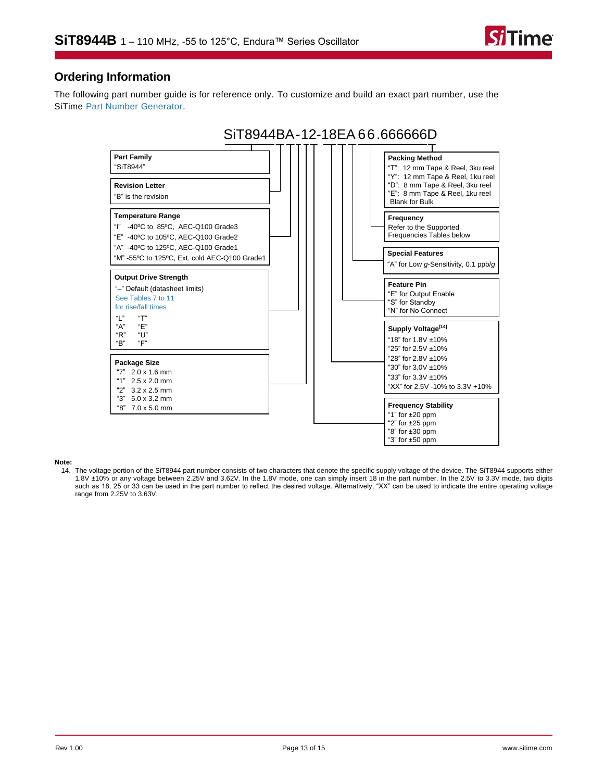

## **Ordering Information**

The following part number guide is for reference only. To customize and build an exact part number, use the SiTime [Part Number Generator.](https://www.sitime.com/part-number-generator?product=SiT8944)



#### **Note:**

<span id="page-12-0"></span>14. The voltage portion of the SiT8944 part number consists of two characters that denote the specific supply voltage of the device. The SiT8944 supports either 1.8V ±10% or any voltage between 2.25V and 3.62V. In the 1.8V mode, one can simply insert 18 in the part number. In the 2.5V to 3.3V mode, two digits such as 18, 25 or 33 can be used in the part number to reflect the desired voltage. Alternatively, "XX" can be used to indicate the entire operating voltage range from 2.25V to 3.63V.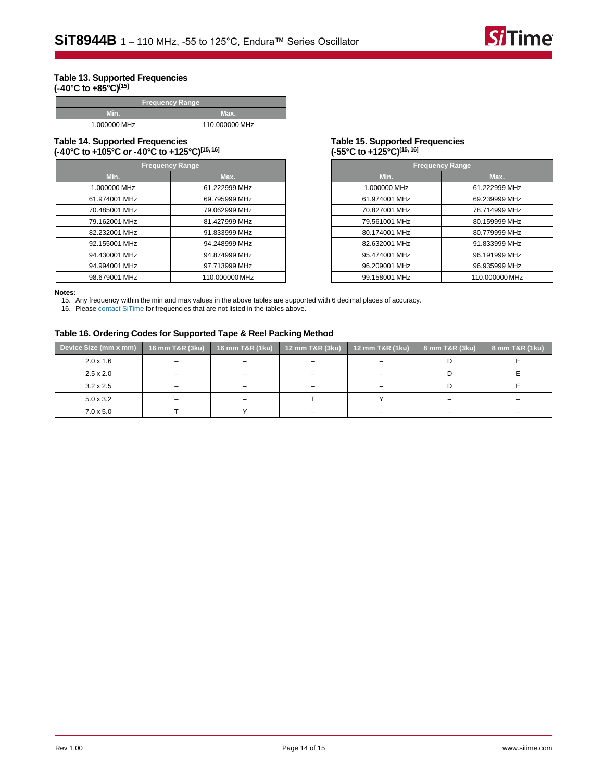

#### <span id="page-13-0"></span>**Table 13. Supported Frequencies (-40°C to +85°C)[\[15\]](#page-13-2)**

| 'Frequency Range, |                |  |
|-------------------|----------------|--|
| Min.              | Max.           |  |
| 1.000000 MHz      | 110.000000 MHz |  |

#### **Table 14. Supported Frequencies (-40°C to +105°C or -40°C to +125°C)[\[15,](#page-13-2) [16\]](#page-13-3)**

| <b>Frequency Range</b> |                |  |  |
|------------------------|----------------|--|--|
| Min.                   | Max.           |  |  |
| 1.000000 MHz           | 61.222999 MHz  |  |  |
| 61.974001 MHz          | 69.795999 MHz  |  |  |
| 70.485001 MHz          | 79.062999 MHz  |  |  |
| 79.162001 MHz          | 81.427999 MHz  |  |  |
| 82.232001 MHz          | 91.833999 MHz  |  |  |
| 92.155001 MHz          | 94.248999 MHz  |  |  |
| 94.430001 MHz          | 94.874999 MHz  |  |  |
| 94.994001 MHz          | 97.713999 MHz  |  |  |
| 98.679001 MHz          | 110.000000 MHz |  |  |

#### <span id="page-13-1"></span>**Table 15. Supported Frequencies (-55°C to +125°C)[\[15,](#page-13-2) [16\]](#page-13-3)**

| <b>Frequency Range</b> |                |  |
|------------------------|----------------|--|
| Min.                   | Max.           |  |
| 1.000000 MHz           | 61.222999 MHz  |  |
| 61.974001 MHz          | 69.239999 MHz  |  |
| 70.827001 MHz          | 78.714999 MHz  |  |
| 79.561001 MHz          | 80.159999 MHz  |  |
| 80.174001 MHz          | 80.779999 MHz  |  |
| 82.632001 MHz          | 91.833999 MHz  |  |
| 95.474001 MHz          | 96.191999 MHz  |  |
| 96.209001 MHz          | 96.935999 MHz  |  |
| 99.158001 MHz          | 110.000000 MHz |  |

<span id="page-13-2"></span>**Notes:**

15. Any frequency within the min and max values in the above tables are supported with 6 decimal places of accuracy.

<span id="page-13-3"></span>16. Please [contact SiTime](http://www.sitime.com/company/contact-us) for frequencies that are not listed in the tables above.

#### **Table 16. Ordering Codes for Supported Tape & Reel Packing Method**

| Device Size (mm x mm) | 16 mm T&R (3ku)          | 16 mm T&R (1ku)          | 12 mm T&R (3ku)          | 12 mm T&R (1ku) | 8 mm T&R (3ku) | 8 mm T&R (1ku) |
|-----------------------|--------------------------|--------------------------|--------------------------|-----------------|----------------|----------------|
| $2.0 \times 1.6$      | $\overline{\phantom{0}}$ | -                        | $\overline{\phantom{0}}$ |                 |                |                |
| $2.5 \times 2.0$      | $\overline{\phantom{0}}$ |                          | $\overline{\phantom{0}}$ |                 |                |                |
| $3.2 \times 2.5$      | $\overline{\phantom{0}}$ | -                        | -                        |                 |                |                |
| $5.0 \times 3.2$      | -                        | $\overline{\phantom{0}}$ |                          |                 | -              |                |
| $7.0 \times 5.0$      |                          |                          | $\overline{\phantom{0}}$ |                 | -              |                |